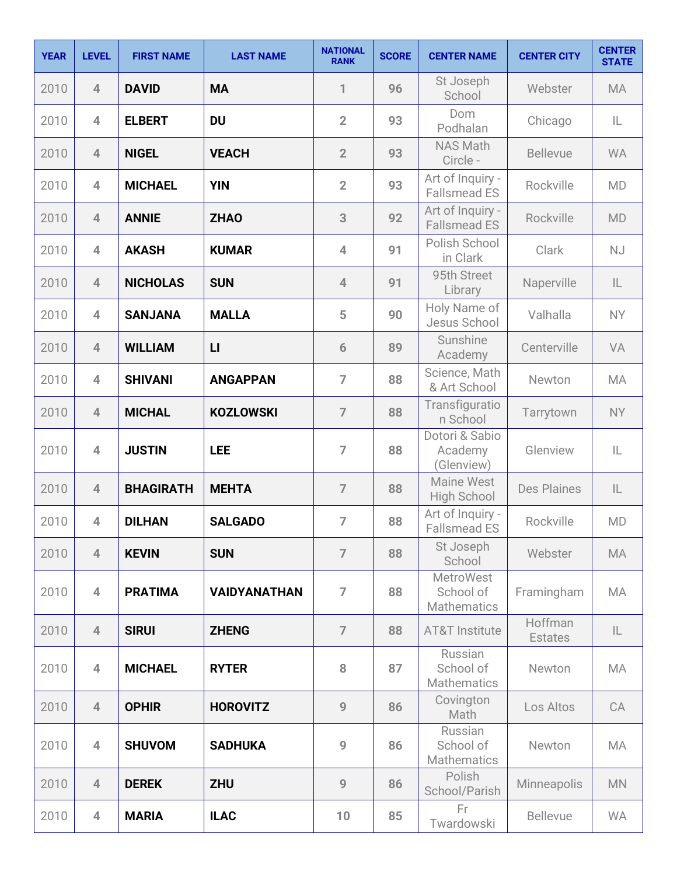| <b>YEAR</b> | <b>LEVEL</b>   | <b>FIRST NAME</b> | <b>LAST NAME</b>    | <b>NATIONAL</b><br><b>RANK</b> | <b>SCORE</b> | <b>CENTER NAME</b>                                  | <b>CENTER CITY</b>        | <b>CENTER</b><br><b>STATE</b> |
|-------------|----------------|-------------------|---------------------|--------------------------------|--------------|-----------------------------------------------------|---------------------------|-------------------------------|
| 2010        | $\overline{4}$ | <b>DAVID</b>      | <b>MA</b>           | 1                              | 96           | St Joseph<br>School                                 | Webster                   | <b>MA</b>                     |
| 2010        | $\overline{4}$ | <b>ELBERT</b>     | <b>DU</b>           | $\overline{2}$                 | 93           | <b>Dom</b><br>Podhalan                              | Chicago                   | IL                            |
| 2010        | $\overline{4}$ | <b>NIGEL</b>      | <b>VEACH</b>        | $\overline{2}$                 | 93           | <b>NAS Math</b><br>Circle -                         | <b>Bellevue</b>           | <b>WA</b>                     |
| 2010        | $\overline{4}$ | <b>MICHAEL</b>    | <b>YIN</b>          | $\overline{2}$                 | 93           | Art of Inquiry -<br><b>Fallsmead ES</b>             | Rockville                 | <b>MD</b>                     |
| 2010        | $\overline{4}$ | <b>ANNIE</b>      | <b>ZHAO</b>         | 3                              | 92           | Art of Inquiry -<br><b>Fallsmead ES</b>             | Rockville                 | <b>MD</b>                     |
| 2010        | $\overline{4}$ | <b>AKASH</b>      | <b>KUMAR</b>        | $\overline{4}$                 | 91           | Polish School<br>in Clark                           | Clark                     | <b>NJ</b>                     |
| 2010        | $\overline{4}$ | <b>NICHOLAS</b>   | <b>SUN</b>          | $\overline{4}$                 | 91           | 95th Street<br>Library                              | Naperville                | $\mathsf{IL}$                 |
| 2010        | $\overline{4}$ | <b>SANJANA</b>    | <b>MALLA</b>        | 5                              | 90           | Holy Name of<br>Jesus School                        | Valhalla                  | <b>NY</b>                     |
| 2010        | $\overline{4}$ | <b>WILLIAM</b>    | $\mathsf{L}$        | 6                              | 89           | Sunshine<br>Academy                                 | Centerville               | VA                            |
| 2010        | $\overline{4}$ | <b>SHIVANI</b>    | <b>ANGAPPAN</b>     | $\overline{7}$                 | 88           | Science, Math<br>& Art School                       | Newton                    | <b>MA</b>                     |
| 2010        | $\overline{4}$ | <b>MICHAL</b>     | <b>KOZLOWSKI</b>    | $\overline{7}$                 | 88           | Transfiguratio<br>n School                          | Tarrytown                 | <b>NY</b>                     |
| 2010        | $\overline{4}$ | <b>JUSTIN</b>     | <b>LEE</b>          | $\overline{7}$                 | 88           | Dotori & Sabio<br>Academy<br>(Glenview)             | Glenview                  | IL                            |
| 2010        | $\overline{4}$ | <b>BHAGIRATH</b>  | <b>MEHTA</b>        | $\overline{7}$                 | 88           | <b>Maine West</b><br><b>High School</b>             | <b>Des Plaines</b>        | $\mathsf{IL}$                 |
| 2010        | $\overline{4}$ | <b>DILHAN</b>     | <b>SALGADO</b>      | $\overline{7}$                 | 88           | Art of Inquiry -<br><b>Fallsmead ES</b>             | Rockville                 | <b>MD</b>                     |
| 2010        | $\overline{4}$ | <b>KEVIN</b>      | <b>SUN</b>          | $\overline{7}$                 | 88           | St Joseph<br>School                                 | Webster                   | <b>MA</b>                     |
| 2010        | $\overline{4}$ | <b>PRATIMA</b>    | <b>VAIDYANATHAN</b> | $\overline{7}$                 | 88           | <b>MetroWest</b><br>School of<br><b>Mathematics</b> | Framingham                | <b>MA</b>                     |
| 2010        | $\overline{4}$ | <b>SIRUI</b>      | <b>ZHENG</b>        | $\overline{7}$                 | 88           | <b>AT&amp;T Institute</b>                           | Hoffman<br><b>Estates</b> | IL                            |
| 2010        | $\overline{4}$ | <b>MICHAEL</b>    | <b>RYTER</b>        | 8                              | 87           | Russian<br>School of<br><b>Mathematics</b>          | Newton                    | MA                            |
| 2010        | $\overline{4}$ | <b>OPHIR</b>      | <b>HOROVITZ</b>     | 9                              | 86           | Covington<br>Math                                   | Los Altos                 | CA                            |
| 2010        | $\overline{4}$ | <b>SHUVOM</b>     | <b>SADHUKA</b>      | 9                              | 86           | Russian<br>School of<br>Mathematics                 | Newton                    | <b>MA</b>                     |
| 2010        | $\overline{4}$ | <b>DEREK</b>      | <b>ZHU</b>          | 9                              | 86           | Polish<br>School/Parish                             | Minneapolis               | <b>MN</b>                     |
| 2010        | $\overline{4}$ | <b>MARIA</b>      | <b>ILAC</b>         | 10                             | 85           | Fr<br>Twardowski                                    | <b>Bellevue</b>           | <b>WA</b>                     |